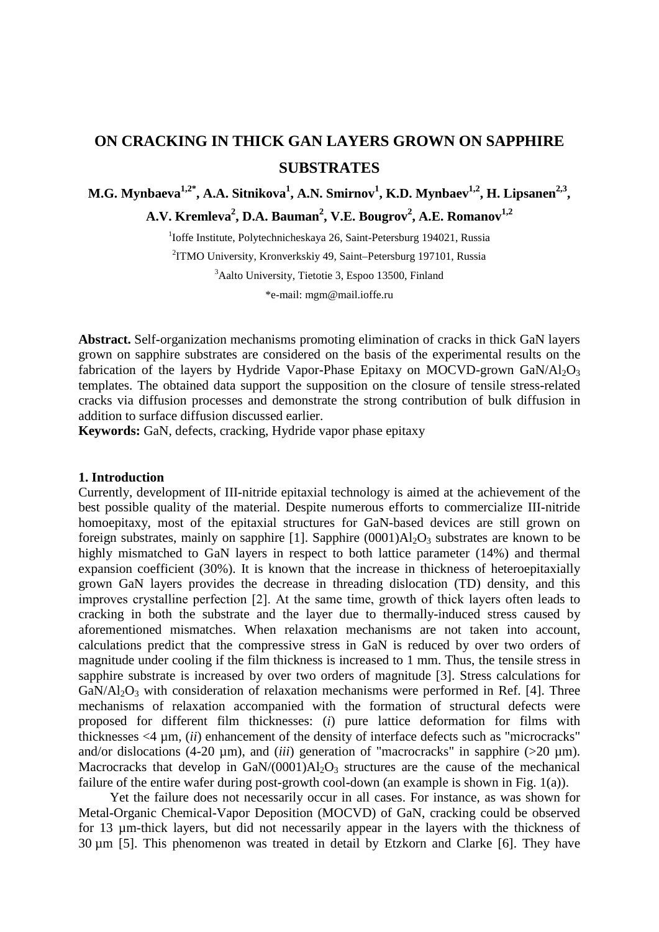# **ON CRACKING IN THICK GAN LAYERS GROWN ON SAPPHIRE SUBSTRATES**

**M.G. Mynbaeva<sup>1,2\*</sup>, A.A. Sitnikova<sup>1</sup>, A.N. Smirnov<sup>1</sup>, <b>K.D. Mynbaev<sup>1,2</sup>, H. Lipsanen<sup>2,3</sup>, A.V. Kremleva2 , D.A. Bauman<sup>2</sup> , V.E. Bougrov2 , A.E. Romanov1,2**

> <sup>1</sup>Ioffe Institute, Polytechnicheskaya 26, Saint-Petersburg 194021, Russia 2 ITMO University, Kronverkskiy 49, Saint–Petersburg 197101, Russia <sup>3</sup>Aalto University, Tietotie 3, Espoo 13500, Finland \*e-mail: mgm@mail.ioffe.ru

**Abstract.** Self-organization mechanisms promoting elimination of cracks in thick GaN layers grown on sapphire substrates are considered on the basis of the experimental results on the fabrication of the layers by Hydride Vapor-Phase Epitaxy on MOCVD-grown  $GaN/A1<sub>2</sub>O<sub>3</sub>$ templates. The obtained data support the supposition on the closure of tensile stress-related cracks via diffusion processes and demonstrate the strong contribution of bulk diffusion in addition to surface diffusion discussed earlier.

**Keywords:** GaN, defects, cracking, Hydride vapor phase epitaxy

#### **1. Introduction**

Currently, development of III-nitride epitaxial technology is aimed at the achievement of the best possible quality of the material. Despite numerous efforts to commercialize III-nitride homoepitaxy, most of the epitaxial structures for GaN-based devices are still grown on foreign substrates, mainly on sapphire [1]. Sapphire  $(0001)Al<sub>2</sub>O<sub>3</sub>$  substrates are known to be highly mismatched to GaN layers in respect to both lattice parameter (14%) and thermal expansion coefficient (30%). It is known that the increase in thickness of heteroepitaxially grown GaN layers provides the decrease in threading dislocation (TD) density, and this improves crystalline perfection [2]. Аt the same time, growth of thick layers often leads to cracking in both the substrate and the layer due to thermally-induced stress caused by aforementioned mismatches. When relaxation mechanisms are not taken into account, calculations predict that the compressive stress in GaN is reduced by over two orders of magnitude under cooling if the film thickness is increased to 1 mm. Thus, the tensile stress in sapphire substrate is increased by over two orders of magnitude [3]. Stress calculations for  $GaN/Al_2O_3$  with consideration of relaxation mechanisms were performed in Ref. [4]. Three mechanisms of relaxation accompanied with the formation of structural defects were proposed for different film thicknesses: (*i*) pure lattice deformation for films with thicknesses <4 µm, (*ii*) enhancement of the density of interface defects such as "microcracks" and/or dislocations (4-20  $\mu$ m), and *(iii)* generation of "macrocracks" in sapphire (>20  $\mu$ m). Macrocracks that develop in  $GaN/(0001)Al<sub>2</sub>O<sub>3</sub>$  structures are the cause of the mechanical failure of the entire wafer during post-growth cool-down (an example is shown in Fig. 1(a)).

Yet the failure does not necessarily occur in all cases. For instance, as was shown for Metal-Organic Chemical-Vapor Deposition (MOCVD) of GaN, cracking could be observed for 13 µm-thick layers, but did not necessarily appear in the layers with the thickness of 30 µm [5]. This phenomenon was treated in detail by Etzkorn and Clarke [6]. They have http://dx.doi.org/10.18720/MPM.4412020\_1

© 2020, Peter the Great St. Petersburg Polytechnic University

© 2020, Institute of Problems of Mechanical Engineering RAS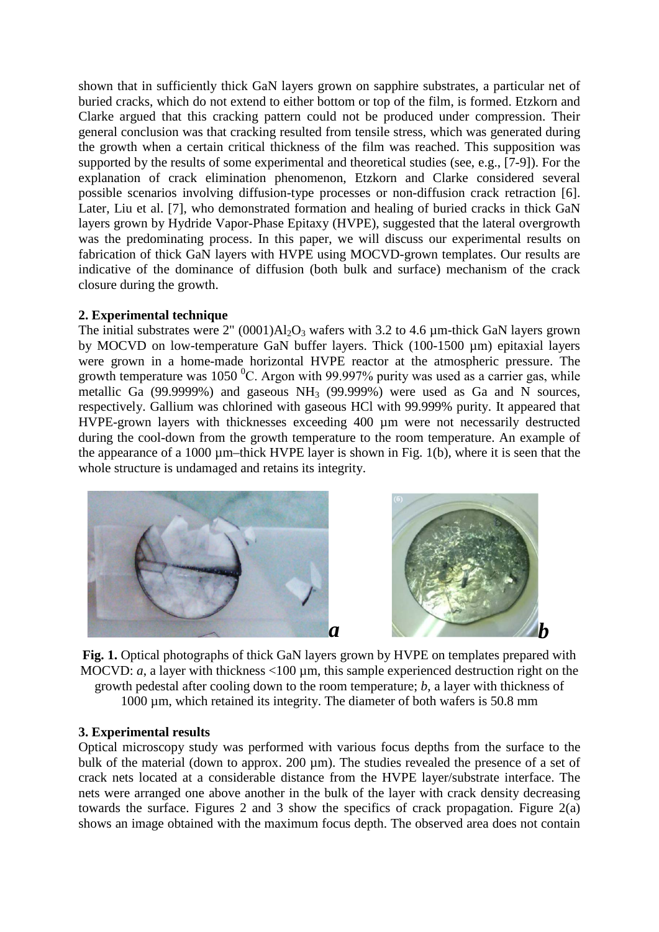shown that in sufficiently thick GaN layers grown on sapphire substrates, a particular net of buried cracks, which do not extend to either bottom or top of the film, is formed. Etzkorn and Clarke argued that this cracking pattern could not be produced under compression. Their general conclusion was that cracking resulted from tensile stress, which was generated during the growth when a certain critical thickness of the film was reached. This supposition was supported by the results of some experimental and theoretical studies (see, e.g., [7-9]). For the explanation of crack elimination phenomenon, Etzkorn and Clarke considered several possible scenarios involving diffusion-type processes or non-diffusion crack retraction [6]. Later, Liu et al. [7], who demonstrated formation and healing of buried cracks in thick GaN layers grown by Hydride Vapor-Phase Epitaxy (HVPE), suggested that the lateral overgrowth was the predominating process. In this paper, we will discuss our experimental results on fabrication of thick GaN layers with HVPE using MOCVD-grown templates. Our results are indicative of the dominance of diffusion (both bulk and surface) mechanism of the crack closure during the growth.

#### **2. Experimental technique**

The initial substrates were  $2'' (0001)$ Al<sub>2</sub>O<sub>3</sub> wafers with 3.2 to 4.6  $\mu$ m-thick GaN layers grown by MOCVD on low-temperature GaN buffer layers. Thick (100-1500 µm) epitaxial layers were grown in a home-made horizontal HVPE reactor at the atmospheric pressure. The growth temperature was  $1050\,^0$ C. Argon with 99.997% purity was used as a carrier gas, while metallic Ga (99.9999%) and gaseous NH<sub>3</sub> (99.999%) were used as Ga and N sources, respectively. Gallium was chlorined with gaseous HCl with 99.999% purity. It appeared that HVPE-grown layers with thicknesses exceeding 400 µm were not necessarily destructed during the cool-down from the growth temperature to the room temperature. An example of the appearance of a 1000  $\mu$ m–thick HVPE layer is shown in Fig. 1(b), where it is seen that the whole structure is undamaged and retains its integrity.



**Fig. 1.** Optical photographs of thick GaN layers grown by HVPE on templates prepared with MOCVD: *a*, a layer with thickness <100 µm, this sample experienced destruction right on the growth pedestal after cooling down to the room temperature; *b*, a layer with thickness of 1000 µm, which retained its integrity. The diameter of both wafers is 50.8 mm

#### **3. Experimental results**

Optical microscopy study was performed with various focus depths from the surface to the bulk of the material (down to approx. 200 µm). The studies revealed the presence of a set of crack nets located at a considerable distance from the HVPE layer/substrate interface. The nets were arranged one above another in the bulk of the layer with crack density decreasing towards the surface. Figures 2 and 3 show the specifics of crack propagation. Figure 2(a) shows an image obtained with the maximum focus depth. The observed area does not contain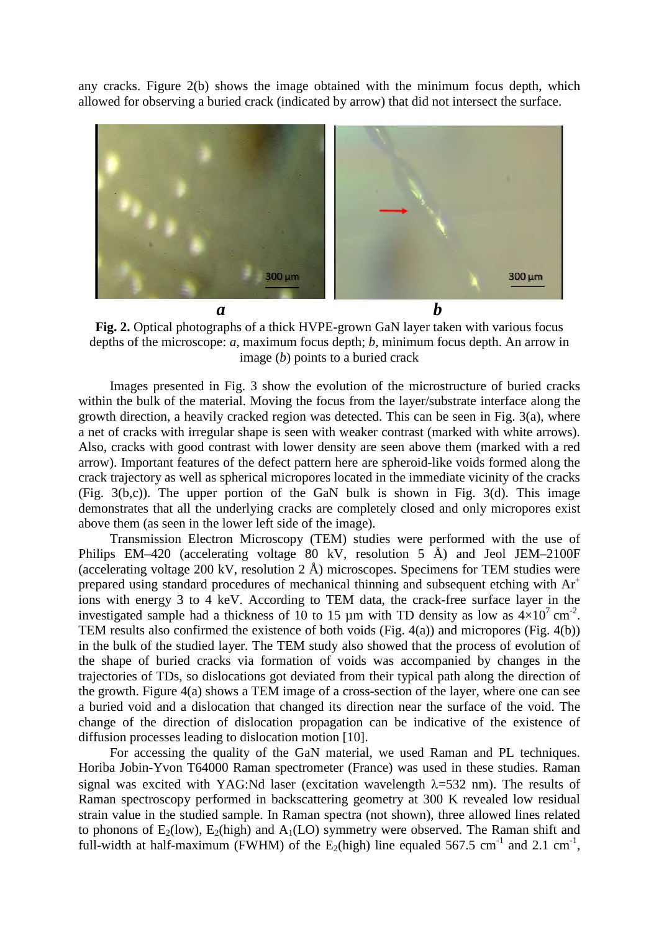any cracks. Figure 2(b) shows the image obtained with the minimum focus depth, which allowed for observing a buried crack (indicated by arrow) that did not intersect the surface.



**Fig. 2.** Optical photographs of a thick HVPE-grown GaN layer taken with various focus depths of the microscope: *a*, maximum focus depth; *b*, minimum focus depth. An arrow in image (*b*) points to a buried crack

Images presented in Fig. 3 show the evolution of the microstructure of buried cracks within the bulk of the material. Moving the focus from the layer/substrate interface along the growth direction, a heavily cracked region was detected. This can be seen in Fig. 3(a), where a net of cracks with irregular shape is seen with weaker contrast (marked with white arrows). Also, cracks with good contrast with lower density are seen above them (marked with a red arrow). Important features of the defect pattern here are spheroid-like voids formed along the crack trajectory as well as spherical micropores located in the immediate vicinity of the cracks (Fig. 3(b,c)). The upper portion of the GaN bulk is shown in Fig. 3(d). This image demonstrates that all the underlying cracks are completely closed and only micropores exist above them (as seen in the lower left side of the image).

Transmission Electron Microscopy (TEM) studies were performed with the use of Philips EM–420 (accelerating voltage 80 kV, resolution 5 Å) and Jeol JEM–2100F (accelerating voltage 200 kV, resolution 2 Å) microscopes. Specimens for TEM studies were prepared using standard procedures of mechanical thinning and subsequent etching with Ar<sup>+</sup> ions with energy 3 to 4 keV. According to TEM data, the crack-free surface layer in the investigated sample had a thickness of 10 to 15  $\mu$ m with TD density as low as  $4 \times 10^{7}$  cm<sup>-2</sup>. TEM results also confirmed the existence of both voids (Fig. 4(a)) and micropores (Fig. 4(b)) in the bulk of the studied layer. The TEM study also showed that the process of evolution of the shape of buried cracks via formation of voids was accompanied by changes in the trajectories of TDs, so dislocations got deviated from their typical path along the direction of the growth. Figure 4(a) shows a TEM image of a cross-section of the layer, where one can see a buried void and a dislocation that changed its direction near the surface of the void. The change of the direction of dislocation propagation can be indicative of the existence of diffusion processes leading to dislocation motion [10].

For accessing the quality of the GaN material, we used Raman and PL techniques. Horiba Jobin-Yvon T64000 Raman spectrometer (France) was used in these studies. Raman signal was excited with YAG:Nd laser (excitation wavelength  $\lambda$ =532 nm). The results of Raman spectroscopy performed in backscattering geometry at 300 K revealed low residual strain value in the studied sample. In Raman spectra (not shown), three allowed lines related to phonons of  $E_2(low)$ ,  $E_2(high)$  and  $A_1(LO)$  symmetry were observed. The Raman shift and full-width at half-maximum (FWHM) of the  $E_2$ (high) line equaled 567.5 cm<sup>-1</sup> and 2.1 cm<sup>-1</sup>,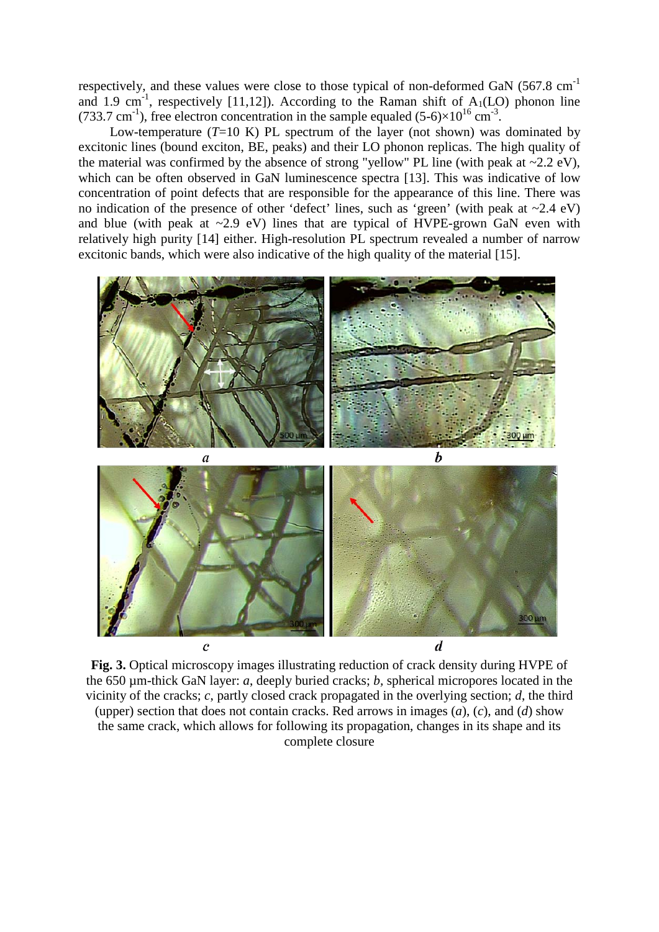respectively, and these values were close to those typical of non-deformed GaN  $(567.8 \text{ cm}^{-1})$ and 1.9 cm<sup>-1</sup>, respectively [11,12]). According to the Raman shift of  $A_1(LO)$  phonon line (733.7 cm<sup>-1</sup>), free electron concentration in the sample equaled (5-6) $\times 10^{16}$  cm<sup>-3</sup>.

Low-temperature  $(T=10 \text{ K})$  PL spectrum of the layer (not shown) was dominated by excitonic lines (bound exciton, BE, peaks) and their LO phonon replicas. The high quality of the material was confirmed by the absence of strong "yellow" PL line (with peak at  $\sim$ 2.2 eV), which can be often observed in GaN luminescence spectra [13]. This was indicative of low concentration of point defects that are responsible for the appearance of this line. There was no indication of the presence of other 'defect' lines, such as 'green' (with peak at  $\sim$ 2.4 eV) and blue (with peak at  $\sim$ 2.9 eV) lines that are typical of HVPE-grown GaN even with relatively high purity [14] either. High-resolution PL spectrum revealed a number of narrow excitonic bands, which were also indicative of the high quality of the material [15].



**Fig. 3.** Optical microscopy images illustrating reduction of crack density during HVPE of the 650 µm-thick GaN layer: *a*, deeply buried cracks; *b,* spherical micropores located in the vicinity of the cracks; *c*, partly closed crack propagated in the overlying section; *d*, the third (upper) section that does not contain cracks. Red arrows in images (*a*), (*c*), and (*d*) show the same crack, which allows for following its propagation, changes in its shape and its complete closure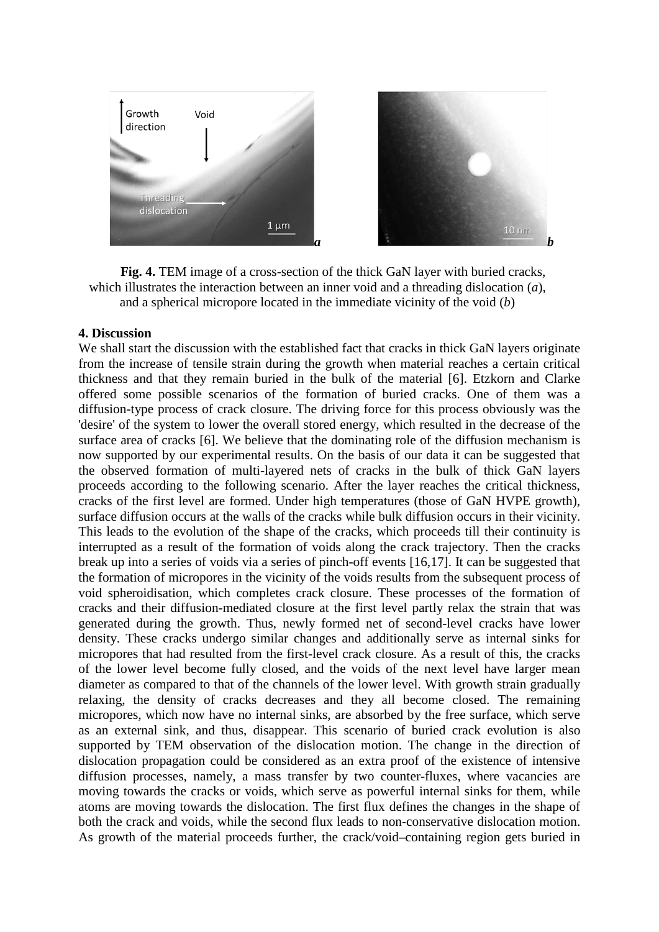On cracking in thick GaN layers grown on sapphire substrates **5** S



**Fig. 4.** TEM image of a cross-section of the thick GaN layer with buried cracks, which illustrates the interaction between an inner void and a threading dislocation (*a*), and a spherical micropore located in the immediate vicinity of the void (*b*)

### **4. Discussion**

We shall start the discussion with the established fact that cracks in thick GaN layers originate from the increase of tensile strain during the growth when material reaches a certain critical thickness and that they remain buried in the bulk of the material [6]. Etzkorn and Clarke offered some possible scenarios of the formation of buried cracks. One of them was a diffusion-type process of crack closure. The driving force for this process obviously was the 'desire' of the system to lower the overall stored energy, which resulted in the decrease of the surface area of cracks [6]. We believe that the dominating role of the diffusion mechanism is now supported by our experimental results. On the basis of our data it can be suggested that the observed formation of multi-layered nets of cracks in the bulk of thick GaN layers proceeds according to the following scenario. After the layer reaches the critical thickness, cracks of the first level are formed. Under high temperatures (those of GaN HVPE growth), surface diffusion occurs at the walls of the cracks while bulk diffusion occurs in their vicinity. This leads to the evolution of the shape of the cracks, which proceeds till their continuity is interrupted as a result of the formation of voids along the crack trajectory. Then the cracks break up into a series of voids via a series of pinch-off events [16,17]. It can be suggested that the formation of micropores in the vicinity of the voids results from the subsequent process of void spheroidisation, which completes crack closure. These processes of the formation of cracks and their diffusion-mediated closure at the first level partly relax the strain that was generated during the growth. Thus, newly formed net of second-level cracks have lower density. These cracks undergo similar changes and additionally serve as internal sinks for micropores that had resulted from the first-level crack closure. As a result of this, the cracks of the lower level become fully closed, and the voids of the next level have larger mean diameter as compared to that of the channels of the lower level. With growth strain gradually relaxing, the density of cracks decreases and they all become closed. The remaining micropores, which now have no internal sinks, are absorbed by the free surface, which serve as an external sink, and thus, disappear. This scenario of buried crack evolution is also supported by TEM observation of the dislocation motion. The change in the direction of dislocation propagation could be considered as an extra proof of the existence of intensive diffusion processes, namely, a mass transfer by two counter-fluxes, where vacancies are moving towards the cracks or voids, which serve as powerful internal sinks for them, while atoms are moving towards the dislocation. The first flux defines the changes in the shape of both the crack and voids, while the second flux leads to non-conservative dislocation motion. As growth of the material proceeds further, the crack/void–containing region gets buried in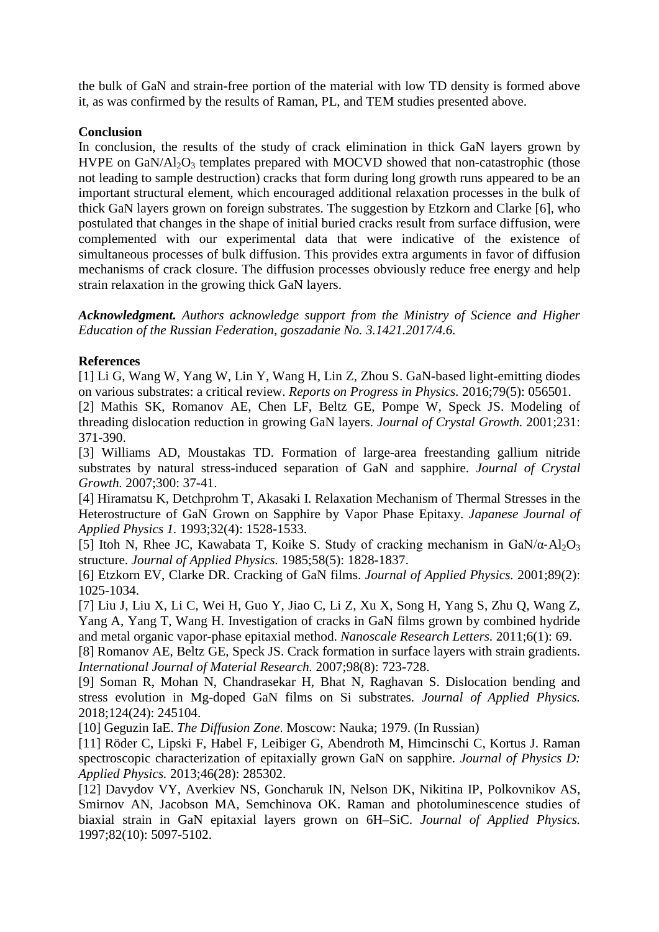the bulk of GaN and strain-free portion of the material with low TD density is formed above it, as was confirmed by the results of Raman, PL, and TEM studies presented above.

## **Conclusion**

In conclusion, the results of the study of crack elimination in thick GaN layers grown by HVPE on  $GaN/Al_2O_3$  templates prepared with MOCVD showed that non-catastrophic (those not leading to sample destruction) cracks that form during long growth runs appeared to be an important structural element, which encouraged additional relaxation processes in the bulk of thick GaN layers grown on foreign substrates. The suggestion by Etzkorn and Clarke [6], who postulated that changes in the shape of initial buried cracks result from surface diffusion, were complemented with our experimental data that were indicative of the existence of simultaneous processes of bulk diffusion. This provides extra arguments in favor of diffusion mechanisms of crack closure. The diffusion processes obviously reduce free energy and help strain relaxation in the growing thick GaN layers.

*Acknowledgment. Authors acknowledge support from the Ministry of Science and Higher Education of the Russian Federation, goszadanie No. 3.1421.2017/4.6.*

## **References**

[1] Li G, Wang W, Yang W, Lin Y, Wang H, Lin Z, Zhou S. GaN-based light-emitting diodes on various substrates: a critical review. *Reports on Progress in Physics.* 2016;79(5): 056501.

[2] Mathis SK, Romanov AE, Chen LF, Beltz GE, Pompe W, Speck JS. Modeling of threading dislocation reduction in growing GaN layers. *Journal of Crystal Growth.* 2001;231: 371-390.

[3] Williams AD, Moustakas TD. Formation of large-area freestanding gallium nitride substrates by natural stress-induced separation of GaN and sapphire. *Journal of Crystal Growth.* 2007;300: 37-41.

[4] Hiramatsu K, Detchprohm T, Akasaki I. Relaxation Mechanism of Thermal Stresses in the Heterostructure of GaN Grown on Sapphire by Vapor Phase Epitaxy. *Japanese Journal of Applied Physics 1.* 1993;32(4): 1528-1533.

[5] Itoh N, Rhee JC, Kawabata T, Koike S. Study of cracking mechanism in  $GaN/a-Al<sub>2</sub>O<sub>3</sub>$ structure. *Journal of Applied Physics.* 1985;58(5): 1828-1837.

[6] Etzkorn EV, Clarke DR. Cracking of GaN films. *Journal of Applied Physics.* 2001;89(2): 1025-1034.

[7] Liu J, Liu X, Li C, Wei H, Guo Y, Jiao C, Li Z, Xu X, Song H, Yang S, Zhu Q, Wang Z, Yang A, Yang T, Wang H. Investigation of cracks in GaN films grown by combined hydride and metal organic vapor-phase epitaxial method. *Nanoscale Research Letters.* 2011;6(1): 69.

[8] Romanov AE, Beltz GE, Speck JS. Crack formation in surface layers with strain gradients. *International Journal of Material Research.* 2007;98(8): 723-728.

[9] Soman R, Mohan N, Chandrasekar H, Bhat N, Raghavan S. Dislocation bending and stress evolution in Mg-doped GaN films on Si substrates. *Journal of Applied Physics.*  2018;124(24): 245104.

[10] Geguzin IaE. *The Diffusion Zone*. Moscow: Nauka; 1979. (In Russian)

[11] Röder C, Lipski F, Habel F, Leibiger G, Abendroth M, Himcinschi C, Kortus J. Raman spectroscopic characterization of epitaxially grown GaN on sapphire. *Journal of Physics D: Applied Physics.* 2013;46(28): 285302.

[12] Davydov VY, Averkiev NS, Goncharuk IN, Nelson DK, Nikitina IP, Polkovnikov AS, Smirnov AN, Jacobson MA, Semchinova OK. Raman and photoluminescence studies of biaxial strain in GaN epitaxial layers grown on 6H–SiC. *Journal of Applied Physics.*  1997;82(10): 5097-5102.